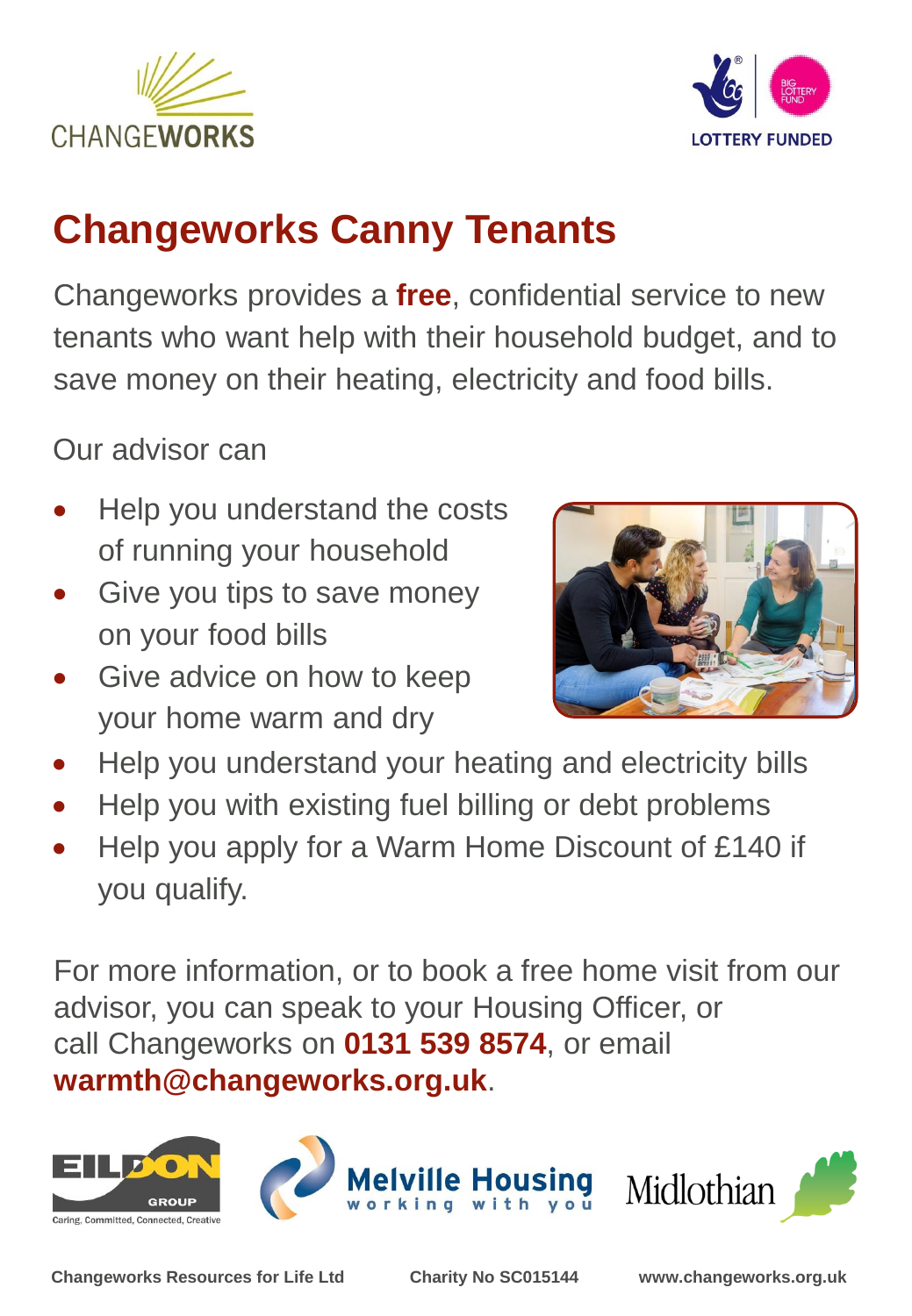



## **Changeworks Canny Tenants**

Changeworks provides a **free**, confidential service to new tenants who want help with their household budget, and to save money on their heating, electricity and food bills.

Our advisor can

- Help you understand the costs of running your household
- Give you tips to save money on your food bills
- Give advice on how to keep your home warm and dry



- Help you understand your heating and electricity bills
- Help you with existing fuel billing or debt problems
- Help you apply for a Warm Home Discount of £140 if you qualify.

For more information, or to book a free home visit from our advisor, you can speak to your Housing Officer, or call Changeworks on **0131 539 8574**, or email **warmth@changeworks.org.uk**.